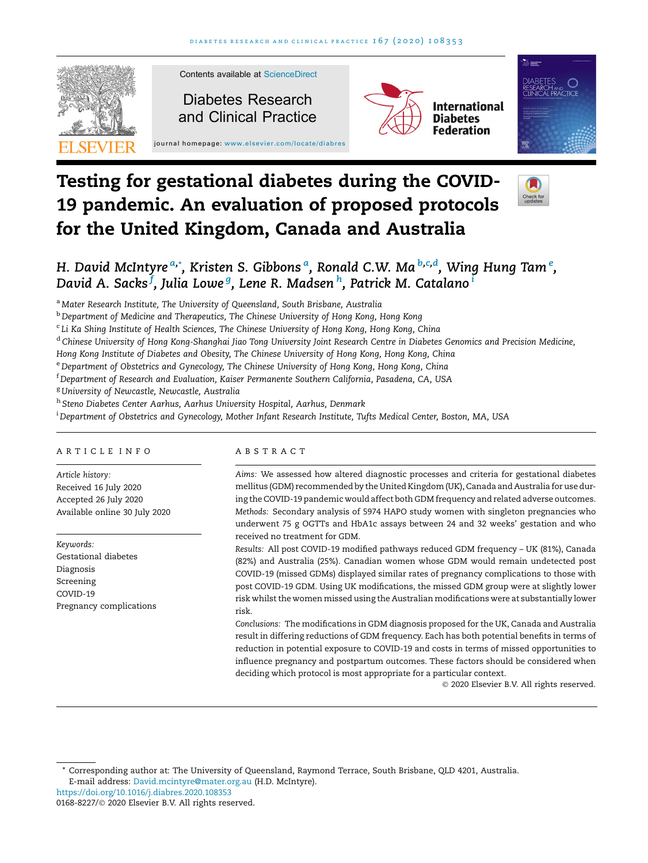

# Testing for gestational diabetes during the COVID-19 pandemic. An evaluation of proposed protocols for the United Kingdom, Canada and Australia



# H. David McIntyre <sup>a,</sup>\*, Kristen S. Gibbons <sup>a</sup>, Ronald C.W. Ma <sup>b,c,d</sup>, Wing Hung Tam <sup>e</sup>, David A. Sacks<sup>j</sup>, Julia Lowe <sup>g</sup>, Lene R. Madsen <sup>h</sup>, Patrick M. Catalano <sup>i</sup>

a Mater Research Institute, The University of Queensland, South Brisbane, Australia

b Department of Medicine and Therapeutics, The Chinese University of Hong Kong, Hong Kong

<sup>c</sup> Li Ka Shing Institute of Health Sciences, The Chinese University of Hong Kong, Hong Kong, China

<sup>d</sup> Chinese University of Hong Kong-Shanghai Jiao Tong University Joint Research Centre in Diabetes Genomics and Precision Medicine,

Hong Kong Institute of Diabetes and Obesity, The Chinese University of Hong Kong, Hong Kong, China

e Department of Obstetrics and Gynecology, The Chinese University of Hong Kong, Hong Kong, China

<sup>f</sup> Department of Research and Evaluation, Kaiser Permanente Southern California, Pasadena, CA, USA

<sup>g</sup> University of Newcastle, Newcastle, Australia

h Steno Diabetes Center Aarhus, Aarhus University Hospital, Aarhus, Denmark

i Department of Obstetrics and Gynecology, Mother Infant Research Institute, Tufts Medical Center, Boston, MA, USA

#### ARTICLE INFO

Article history: Received 16 July 2020 Accepted 26 July 2020 Available online 30 July 2020

Keywords: Gestational diabetes Diagnosis Screening COVID-19 Pregnancy complications

#### ABSTRACT

Aims: We assessed how altered diagnostic processes and criteria for gestational diabetes mellitus (GDM) recommended by the United Kingdom (UK), Canada and Australia for use during the COVID-19 pandemic would affect both GDM frequency and related adverse outcomes. Methods: Secondary analysis of 5974 HAPO study women with singleton pregnancies who underwent 75 g OGTTs and HbA1c assays between 24 and 32 weeks' gestation and who received no treatment for GDM.

Results: All post COVID-19 modified pathways reduced GDM frequency – UK (81%), Canada (82%) and Australia (25%). Canadian women whose GDM would remain undetected post COVID-19 (missed GDMs) displayed similar rates of pregnancy complications to those with post COVID-19 GDM. Using UK modifications, the missed GDM group were at slightly lower risk whilst the women missed using the Australian modifications were at substantially lower risk.

Conclusions: The modifications in GDM diagnosis proposed for the UK, Canada and Australia result in differing reductions of GDM frequency. Each has both potential benefits in terms of reduction in potential exposure to COVID-19 and costs in terms of missed opportunities to influence pregnancy and postpartum outcomes. These factors should be considered when deciding which protocol is most appropriate for a particular context.

2020 Elsevier B.V. All rights reserved.

\* Corresponding author at: The University of Queensland, Raymond Terrace, South Brisbane, QLD 4201, Australia. E-mail address: [David.mcintyre@mater.org.au](mailto:David.mcintyre@mater.org.au) (H.D. McIntyre).

<https://doi.org/10.1016/j.diabres.2020.108353>

<sup>0168-8227/© 2020</sup> Elsevier B.V. All rights reserved.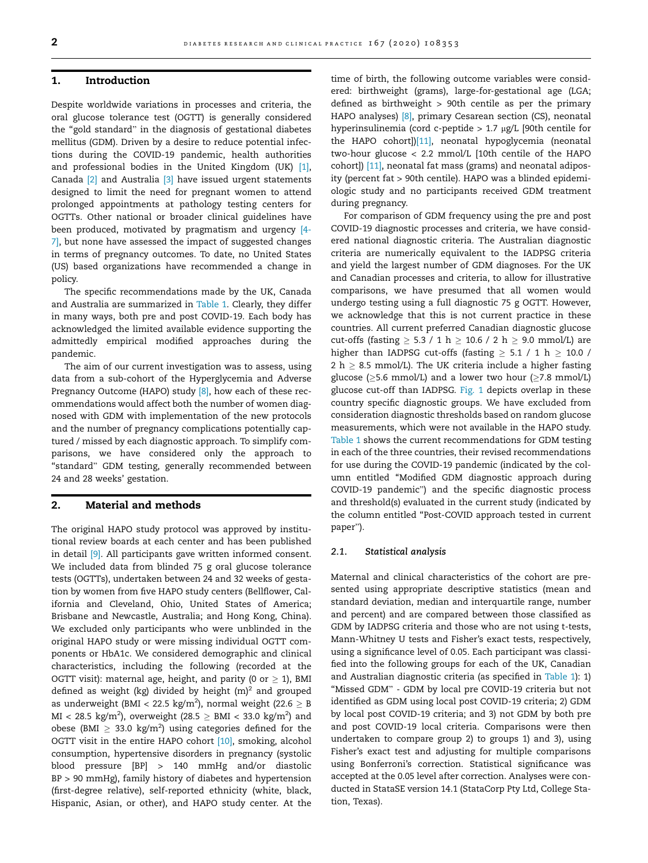### 1. Introduction

Despite worldwide variations in processes and criteria, the oral glucose tolerance test (OGTT) is generally considered the ''gold standard" in the diagnosis of gestational diabetes mellitus (GDM). Driven by a desire to reduce potential infections during the COVID-19 pandemic, health authorities and professional bodies in the United Kingdom (UK) [\[1\]](#page-7-0), Canada [\[2\]](#page-7-0) and Australia [\[3\]](#page-7-0) have issued urgent statements designed to limit the need for pregnant women to attend prolonged appointments at pathology testing centers for OGTTs. Other national or broader clinical guidelines have been produced, motivated by pragmatism and urgency [\[4-](#page-7-0) [7\]](#page-7-0), but none have assessed the impact of suggested changes in terms of pregnancy outcomes. To date, no United States (US) based organizations have recommended a change in policy.

The specific recommendations made by the UK, Canada and Australia are summarized in [Table 1](#page-2-0). Clearly, they differ in many ways, both pre and post COVID-19. Each body has acknowledged the limited available evidence supporting the admittedly empirical modified approaches during the pandemic.

The aim of our current investigation was to assess, using data from a sub-cohort of the Hyperglycemia and Adverse Pregnancy Outcome (HAPO) study [\[8\]](#page-7-0), how each of these recommendations would affect both the number of women diagnosed with GDM with implementation of the new protocols and the number of pregnancy complications potentially captured / missed by each diagnostic approach. To simplify comparisons, we have considered only the approach to "standard" GDM testing, generally recommended between 24 and 28 weeks' gestation.

# 2. Material and methods

The original HAPO study protocol was approved by institutional review boards at each center and has been published in detail [\[9\]](#page-7-0). All participants gave written informed consent. We included data from blinded 75 g oral glucose tolerance tests (OGTTs), undertaken between 24 and 32 weeks of gestation by women from five HAPO study centers (Bellflower, California and Cleveland, Ohio, United States of America; Brisbane and Newcastle, Australia; and Hong Kong, China). We excluded only participants who were unblinded in the original HAPO study or were missing individual OGTT components or HbA1c. We considered demographic and clinical characteristics, including the following (recorded at the OGTT visit): maternal age, height, and parity (0 or  $\geq$  1), BMI defined as weight (kg) divided by height  $(m)^2$  and grouped as underweight (BMI < 22.5 kg/m<sup>2</sup>), normal weight (22.6  $\geq$  B  $\text{MI} < 28.5 \text{ kg/m}^2$ ), overweight (28.5  $\geq \text{BMI} < 33.0 \text{ kg/m}^2$ ) and obese (BMI  $\geq 33.0 \text{ kg/m}^2$ ) using categories defined for the OGTT visit in the entire HAPO cohort [\[10\],](#page-7-0) smoking, alcohol consumption, hypertensive disorders in pregnancy (systolic blood pressure [BP] > 140 mmHg and/or diastolic BP > 90 mmHg), family history of diabetes and hypertension (first-degree relative), self-reported ethnicity (white, black, Hispanic, Asian, or other), and HAPO study center. At the time of birth, the following outcome variables were considered: birthweight (grams), large-for-gestational age (LGA; defined as birthweight > 90th centile as per the primary HAPO analyses) [\[8\],](#page-7-0) primary Cesarean section (CS), neonatal hyperinsulinemia (cord c-peptide  $> 1.7$  µg/L [90th centile for the HAPO cohort])[\[11\],](#page-7-0) neonatal hypoglycemia (neonatal two-hour glucose < 2.2 mmol/L [10th centile of the HAPO cohort]) [\[11\],](#page-7-0) neonatal fat mass (grams) and neonatal adiposity (percent fat > 90th centile). HAPO was a blinded epidemiologic study and no participants received GDM treatment during pregnancy.

For comparison of GDM frequency using the pre and post COVID-19 diagnostic processes and criteria, we have considered national diagnostic criteria. The Australian diagnostic criteria are numerically equivalent to the IADPSG criteria and yield the largest number of GDM diagnoses. For the UK and Canadian processes and criteria, to allow for illustrative comparisons, we have presumed that all women would undergo testing using a full diagnostic 75 g OGTT. However, we acknowledge that this is not current practice in these countries. All current preferred Canadian diagnostic glucose cut-offs (fasting  $\geq$  5.3 / 1 h  $\geq$  10.6 / 2 h  $\geq$  9.0 mmol/L) are higher than IADPSG cut-offs (fasting  $\geq$  5.1 / 1 h  $\geq$  10.0 / 2 h  $\geq$  8.5 mmol/L). The UK criteria include a higher fasting glucose ( $\geq$ 5.6 mmol/L) and a lower two hour ( $\geq$ 7.8 mmol/L) glucose cut-off than IADPSG. [Fig. 1](#page-3-0) depicts overlap in these country specific diagnostic groups. We have excluded from consideration diagnostic thresholds based on random glucose measurements, which were not available in the HAPO study. [Table 1](#page-2-0) shows the current recommendations for GDM testing in each of the three countries, their revised recommendations for use during the COVID-19 pandemic (indicated by the column entitled ''Modified GDM diagnostic approach during COVID-19 pandemic") and the specific diagnostic process and threshold(s) evaluated in the current study (indicated by the column entitled ''Post-COVID approach tested in current paper").

#### 2.1. Statistical analysis

Maternal and clinical characteristics of the cohort are presented using appropriate descriptive statistics (mean and standard deviation, median and interquartile range, number and percent) and are compared between those classified as GDM by IADPSG criteria and those who are not using t-tests, Mann-Whitney U tests and Fisher's exact tests, respectively, using a significance level of 0.05. Each participant was classified into the following groups for each of the UK, Canadian and Australian diagnostic criteria (as specified in [Table 1\)](#page-2-0): 1) "Missed GDM" - GDM by local pre COVID-19 criteria but not identified as GDM using local post COVID-19 criteria; 2) GDM by local post COVID-19 criteria; and 3) not GDM by both pre and post COVID-19 local criteria. Comparisons were then undertaken to compare group 2) to groups 1) and 3), using Fisher's exact test and adjusting for multiple comparisons using Bonferroni's correction. Statistical significance was accepted at the 0.05 level after correction. Analyses were conducted in StataSE version 14.1 (StataCorp Pty Ltd, College Station, Texas).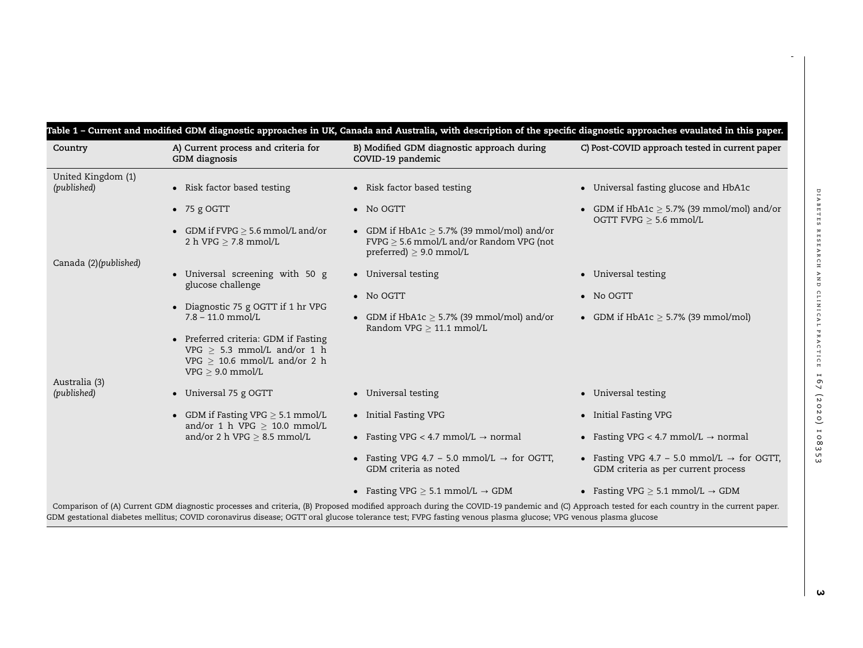<span id="page-2-0"></span>

| Country                           | A) Current process and criteria for<br>GDM diagnosis                                                                          | B) Modified GDM diagnostic approach during<br>COVID-19 pandemic                                                                  | C) Post-COVID approach tested in current paper                                                |
|-----------------------------------|-------------------------------------------------------------------------------------------------------------------------------|----------------------------------------------------------------------------------------------------------------------------------|-----------------------------------------------------------------------------------------------|
| United Kingdom (1)<br>(published) | • Risk factor based testing                                                                                                   | • Risk factor based testing                                                                                                      | • Universal fasting glucose and HbA1c                                                         |
|                                   | $\bullet$ 75 g OGTT                                                                                                           | $\bullet$ No OGTT                                                                                                                | • GDM if HbA1c $\geq$ 5.7% (39 mmol/mol) and/or<br>OGTT FVPG $> 5.6$ mmol/L                   |
|                                   | • GDM if $FVPG > 5.6$ mmol/L and/or<br>2 h VPG $\geq$ 7.8 mmol/L                                                              | • GDM if HbA1c $\geq$ 5.7% (39 mmol/mol) and/or<br>$FVPG \geq 5.6$ mmol/L and/or Random VPG (not<br>preferred) $\geq$ 9.0 mmol/L |                                                                                               |
| Canada (2)(published)             | • Universal screening with 50 g<br>glucose challenge                                                                          | • Universal testing                                                                                                              | • Universal testing                                                                           |
|                                   |                                                                                                                               | • No OGTT                                                                                                                        | • No OGTT                                                                                     |
|                                   | • Diagnostic 75 g OGTT if 1 hr VPG<br>$7.8 - 11.0$ mmol/L                                                                     | • GDM if $HbA1c > 5.7\%$ (39 mmol/mol) and/or<br>Random VPG $> 11.1$ mmol/L                                                      | • GDM if $HbA1c > 5.7\%$ (39 mmol/mol)                                                        |
|                                   | • Preferred criteria: GDM if Fasting<br>VPG $> 5.3$ mmol/L and/or 1 h<br>VPG $> 10.6$ mmol/L and/or 2 h<br>$VPG > 9.0$ mmol/L |                                                                                                                                  |                                                                                               |
| Australia (3)<br>(published)      | • Universal 75 g OGTT                                                                                                         | • Universal testing                                                                                                              | • Universal testing                                                                           |
|                                   | • GDM if Fasting VPG $> 5.1$ mmol/L<br>and/or 1 h VPG $> 10.0$ mmol/L                                                         | • Initial Fasting VPG                                                                                                            | • Initial Fasting VPG                                                                         |
|                                   | and/or 2 h VPG $\geq$ 8.5 mmol/L                                                                                              | • Fasting VPG < 4.7 mmol/L $\rightarrow$ normal                                                                                  | • Fasting VPG < 4.7 mmol/L $\rightarrow$ normal                                               |
|                                   |                                                                                                                               | • Fasting VPG 4.7 – 5.0 mmol/L $\rightarrow$ for OGTT,<br>GDM criteria as noted                                                  | • Fasting VPG 4.7 – 5.0 mmol/L $\rightarrow$ for OGTT,<br>GDM criteria as per current process |
|                                   |                                                                                                                               | • Fasting VPG $\geq$ 5.1 mmol/L $\rightarrow$ GDM                                                                                | • Fasting VPG $\geq$ 5.1 mmol/L $\rightarrow$ GDM                                             |

 $\rightarrow$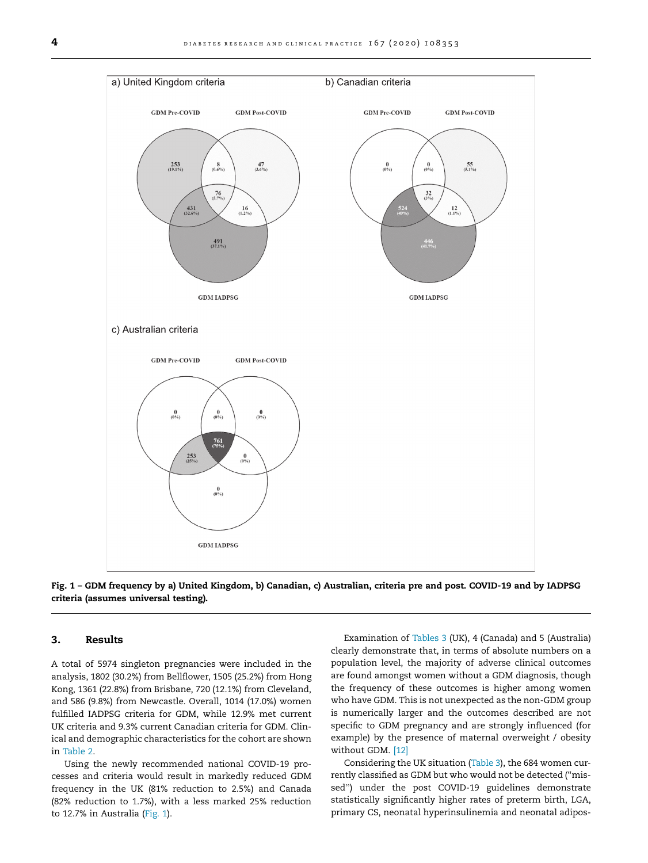<span id="page-3-0"></span>

Fig. 1 – GDM frequency by a) United Kingdom, b) Canadian, c) Australian, criteria pre and post. COVID-19 and by IADPSG criteria (assumes universal testing).

#### 3. Results

A total of 5974 singleton pregnancies were included in the analysis, 1802 (30.2%) from Bellflower, 1505 (25.2%) from Hong Kong, 1361 (22.8%) from Brisbane, 720 (12.1%) from Cleveland, and 586 (9.8%) from Newcastle. Overall, 1014 (17.0%) women fulfilled IADPSG criteria for GDM, while 12.9% met current UK criteria and 9.3% current Canadian criteria for GDM. Clinical and demographic characteristics for the cohort are shown in [Table 2](#page-4-0).

Using the newly recommended national COVID-19 processes and criteria would result in markedly reduced GDM frequency in the UK (81% reduction to 2.5%) and Canada (82% reduction to 1.7%), with a less marked 25% reduction to 12.7% in Australia (Fig. 1).

Examination of [Tables 3](#page-5-0) (UK), 4 (Canada) and 5 (Australia) clearly demonstrate that, in terms of absolute numbers on a population level, the majority of adverse clinical outcomes are found amongst women without a GDM diagnosis, though the frequency of these outcomes is higher among women who have GDM. This is not unexpected as the non-GDM group is numerically larger and the outcomes described are not specific to GDM pregnancy and are strongly influenced (for example) by the presence of maternal overweight / obesity without GDM. [\[12\]](#page-7-0)

Considering the UK situation ([Table 3](#page-5-0)), the 684 women currently classified as GDM but who would not be detected (''missed") under the post COVID-19 guidelines demonstrate statistically significantly higher rates of preterm birth, LGA, primary CS, neonatal hyperinsulinemia and neonatal adipos-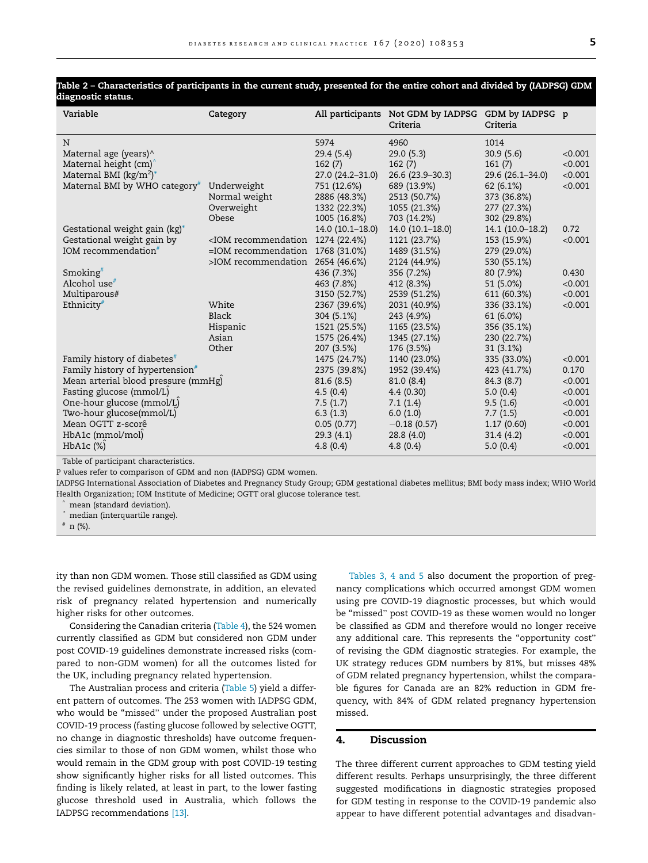| Variable                                    | Category                                                                                                              |                     | All participants Not GDM by IADPSG<br>Criteria | GDM by IADPSG p<br>Criteria |         |
|---------------------------------------------|-----------------------------------------------------------------------------------------------------------------------|---------------------|------------------------------------------------|-----------------------------|---------|
| N                                           |                                                                                                                       | 5974                | 4960                                           | 1014                        |         |
| Maternal age (years)^                       |                                                                                                                       | 29.4(5.4)           | 29.0(5.3)                                      | 30.9(5.6)                   | < 0.001 |
| Maternal height (cm)                        |                                                                                                                       | 162(7)              | 162(7)                                         | 161(7)                      | < 0.001 |
| Maternal BMI ( $kg/m2$ )*                   |                                                                                                                       | $27.0(24.2 - 31.0)$ | 26.6 (23.9 - 30.3)                             | 29.6 (26.1-34.0)            | < 0.001 |
| Maternal BMI by WHO category <sup>#</sup>   | Underweight                                                                                                           | 751 (12.6%)         | 689 (13.9%)                                    | 62(6.1%)                    | < 0.001 |
|                                             | Normal weight                                                                                                         | 2886 (48.3%)        | 2513 (50.7%)                                   | 373 (36.8%)                 |         |
|                                             | Overweight                                                                                                            | 1332 (22.3%)        | 1055 (21.3%)                                   | 277 (27.3%)                 |         |
|                                             | Obese                                                                                                                 | 1005 (16.8%)        | 703 (14.2%)                                    | 302 (29.8%)                 |         |
| Gestational weight gain (kg)*               |                                                                                                                       | $14.0(10.1-18.0)$   | 14.0 (10.1-18.0)                               | 14.1 (10.0-18.2)            | 0.72    |
| Gestational weight gain by                  | <iom recommendation<="" td=""><td>1274 (22.4%)</td><td>1121 (23.7%)</td><td>153 (15.9%)</td><td>&lt; 0.001</td></iom> | 1274 (22.4%)        | 1121 (23.7%)                                   | 153 (15.9%)                 | < 0.001 |
| IOM recommendation <sup>#</sup>             | $=$ IOM recommendation                                                                                                | 1768 (31.0%)        | 1489 (31.5%)                                   | 279 (29.0%)                 |         |
|                                             | >IOM recommendation                                                                                                   | 2654 (46.6%)        | 2124 (44.9%)                                   | 530 (55.1%)                 |         |
| Smoking $*$                                 |                                                                                                                       | 436 (7.3%)          | 356 (7.2%)                                     | 80 (7.9%)                   | 0.430   |
| Alcohol use <sup>#</sup>                    |                                                                                                                       | 463 (7.8%)          | 412 (8.3%)                                     | 51 (5.0%)                   | < 0.001 |
| Multiparous#                                |                                                                                                                       | 3150 (52.7%)        | 2539 (51.2%)                                   | 611 (60.3%)                 | < 0.001 |
| Ethnicity <sup>#</sup>                      | White                                                                                                                 | 2367 (39.6%)        | 2031 (40.9%)                                   | 336 (33.1%)                 | < 0.001 |
|                                             | Black                                                                                                                 | 304 (5.1%)          | 243 (4.9%)                                     | 61 (6.0%)                   |         |
|                                             | Hispanic                                                                                                              | 1521 (25.5%)        | 1165 (23.5%)                                   | 356 (35.1%)                 |         |
|                                             | Asian                                                                                                                 | 1575 (26.4%)        | 1345 (27.1%)                                   | 230 (22.7%)                 |         |
|                                             | Other                                                                                                                 | 207 (3.5%)          | 176 (3.5%)                                     | $31(3.1\%)$                 |         |
| Family history of diabetes <sup>#</sup>     |                                                                                                                       | 1475 (24.7%)        | 1140 (23.0%)                                   | 335 (33.0%)                 | < 0.001 |
| Family history of hypertension <sup>#</sup> |                                                                                                                       | 2375 (39.8%)        | 1952 (39.4%)                                   | 423 (41.7%)                 | 0.170   |
| Mean arterial blood pressure (mmHg)         |                                                                                                                       | 81.6(8.5)           | 81.0(8.4)                                      | 84.3 (8.7)                  | < 0.001 |
| Fasting glucose (mmol/L)                    |                                                                                                                       | 4.5(0.4)            | 4.4(0.30)                                      | 5.0(0.4)                    | < 0.001 |
| One-hour glucose (mmol/L)                   |                                                                                                                       | 7.5(1.7)            | 7.1(1.4)                                       | 9.5(1.6)                    | < 0.001 |
| Two-hour glucose(mmol/L)                    |                                                                                                                       | 6.3(1.3)            | 6.0(1.0)                                       | 7.7(1.5)                    | < 0.001 |
| Mean OGTT z-scorê                           |                                                                                                                       | 0.05(0.77)          | $-0.18(0.57)$                                  | 1.17(0.60)                  | < 0.001 |
| HbA1c (mmol/mol)                            |                                                                                                                       | 29.3(4.1)           | 28.8(4.0)                                      | 31.4(4.2)                   | < 0.001 |
| HbA1c $(\%)$                                |                                                                                                                       | 4.8(0.4)            | 4.8(0.4)                                       | 5.0(0.4)                    | < 0.001 |

#### <span id="page-4-0"></span>Table 2 – Characteristics of participants in the current study, presented for the entire cohort and divided by (IADPSG) GDM diagnostic status.

Table of participant characteristics.

P values refer to comparison of GDM and non (IADPSG) GDM women.

IADPSG International Association of Diabetes and Pregnancy Study Group; GDM gestational diabetes mellitus; BMI body mass index; WHO World Health Organization; IOM Institute of Medicine; OGTT oral glucose tolerance test.

mean (standard deviation).

\* median (interquartile range).

# n (%).

ity than non GDM women. Those still classified as GDM using the revised guidelines demonstrate, in addition, an elevated risk of pregnancy related hypertension and numerically higher risks for other outcomes.

Considering the Canadian criteria ([Table 4](#page-5-0)), the 524 women currently classified as GDM but considered non GDM under post COVID-19 guidelines demonstrate increased risks (compared to non-GDM women) for all the outcomes listed for the UK, including pregnancy related hypertension.

The Australian process and criteria [\(Table 5\)](#page-6-0) yield a different pattern of outcomes. The 253 women with IADPSG GDM, who would be ''missed" under the proposed Australian post COVID-19 process (fasting glucose followed by selective OGTT, no change in diagnostic thresholds) have outcome frequencies similar to those of non GDM women, whilst those who would remain in the GDM group with post COVID-19 testing show significantly higher risks for all listed outcomes. This finding is likely related, at least in part, to the lower fasting glucose threshold used in Australia, which follows the IADPSG recommendations [\[13\].](#page-7-0)

[Tables 3, 4 and 5](#page-5-0) also document the proportion of pregnancy complications which occurred amongst GDM women using pre COVID-19 diagnostic processes, but which would be ''missed" post COVID-19 as these women would no longer be classified as GDM and therefore would no longer receive any additional care. This represents the "opportunity cost" of revising the GDM diagnostic strategies. For example, the UK strategy reduces GDM numbers by 81%, but misses 48% of GDM related pregnancy hypertension, whilst the comparable figures for Canada are an 82% reduction in GDM frequency, with 84% of GDM related pregnancy hypertension missed.

# 4. Discussion

The three different current approaches to GDM testing yield different results. Perhaps unsurprisingly, the three different suggested modifications in diagnostic strategies proposed for GDM testing in response to the COVID-19 pandemic also appear to have different potential advantages and disadvan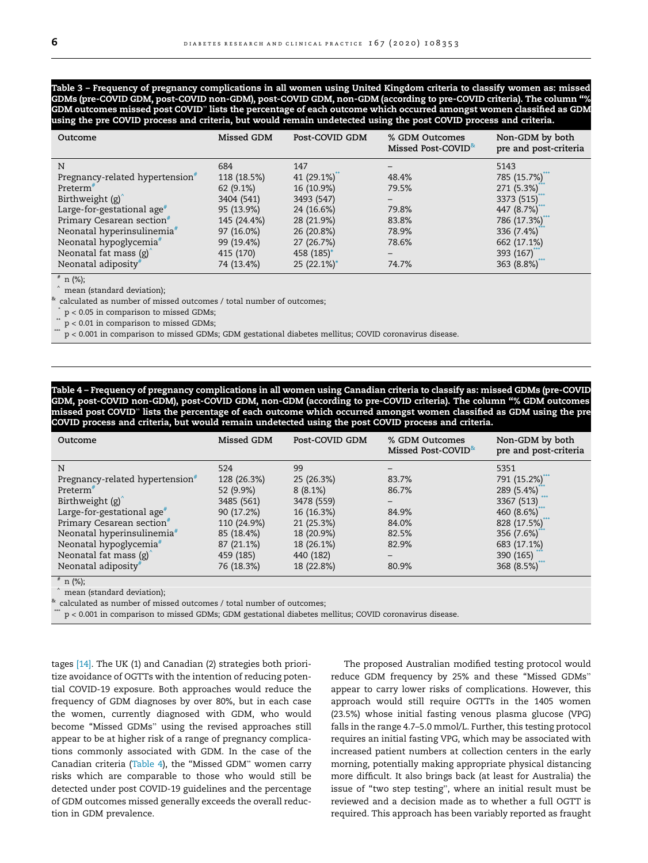<span id="page-5-0"></span>Table 3 – Frequency of pregnancy complications in all women using United Kingdom criteria to classify women as: missed GDMs (pre-COVID GDM, post-COVID non-GDM), post-COVID GDM, non-GDM (according to pre-COVID criteria). The column ''% GDM outcomes missed post COVID" lists the percentage of each outcome which occurred amongst women classified as GDM using the pre COVID process and criteria, but would remain undetected using the post COVID process and criteria.

| Outcome                                     | Missed GDM  | Post-COVID GDM | % GDM Outcomes<br>Missed Post-COVID <sup>&amp;</sup> | Non-GDM by both<br>pre and post-criteria |
|---------------------------------------------|-------------|----------------|------------------------------------------------------|------------------------------------------|
| N                                           | 684         | 147            |                                                      | 5143                                     |
| Pregnancy-related hypertension <sup>#</sup> | 118 (18.5%) | 41 $(29.1\%)$  | 48.4%                                                | 785 (15.7%)                              |
| $Preterm$ <sup>#</sup>                      | 62 (9.1%)   | 16 (10.9%)     | 79.5%                                                | 271 (5.3%)*                              |
| Birthweight $(g)$                           | 3404 (541)  | 3493 (547)     |                                                      | 3373 (515)                               |
| Large-for-gestational age $*$               | 95 (13.9%)  | 24 (16.6%)     | 79.8%                                                | 447 (8.7%)                               |
| Primary Cesarean section <sup>#</sup>       | 145 (24.4%) | 28 (21.9%)     | 83.8%                                                | 786 (17.3%)                              |
| Neonatal hyperinsulinemia#                  | 97 (16.0%)  | 26 (20.8%)     | 78.9%                                                | 336 $(7.4%)$                             |
| Neonatal hypoglycemia <sup>#</sup>          | 99 (19.4%)  | 27 (26.7%)     | 78.6%                                                | 662 (17.1%)                              |
| Neonatal fat mass $(g)$                     | 415 (170)   | 458 (185)*     |                                                      | 393 $(167)$ <sup>*</sup>                 |
| Neonatal adiposity#                         | 74 (13.4%)  | 25 (22.1%)*    | 74.7%                                                | 363 (8.8%)                               |

 $# n$  (%);

mean (standard deviation);

calculated as number of missed outcomes / total number of outcomes;

 $p < 0.05$  in comparison to missed GDMs;

 $p < 0.01$  in comparison to missed GDMs;

 $p < 0.001$  in comparison to missed GDMs; GDM gestational diabetes mellitus; COVID coronavirus disease.

Table 4 – Frequency of pregnancy complications in all women using Canadian criteria to classify as: missed GDMs (pre-COVID GDM, post-COVID non-GDM), post-COVID GDM, non-GDM (according to pre-COVID criteria). The column ''% GDM outcomes missed post COVID" lists the percentage of each outcome which occurred amongst women classified as GDM using the pre COVID process and criteria, but would remain undetected using the post COVID process and criteria.

| Outcome                                       | Missed GDM  | Post-COVID GDM | % GDM Outcomes<br>Missed Post-COVID <sup>*</sup> | Non-GDM by both<br>pre and post-criteria |
|-----------------------------------------------|-------------|----------------|--------------------------------------------------|------------------------------------------|
| N                                             | 524         | 99             |                                                  | 5351                                     |
| Pregnancy-related hypertension $\overline{r}$ | 128 (26.3%) | 25 (26.3%)     | 83.7%                                            | 791 (15.2%)                              |
| Preterm <sup>#</sup>                          | 52 (9.9%)   | $8(8.1\%)$     | 86.7%                                            | 289 (5.4%)                               |
| Birthweight (g)                               | 3485 (561)  | 3478 (559)     |                                                  | 3367 (513)                               |
| Large-for-gestational age <sup>#</sup>        | 90 (17.2%)  | 16 (16.3%)     | 84.9%                                            | 460 $(8.6\%)$                            |
| Primary Cesarean section <sup>#</sup>         | 110 (24.9%) | 21 (25.3%)     | 84.0%                                            | 828 (17.5%)                              |
| Neonatal hyperinsulinemia <sup>#</sup>        | 85 (18.4%)  | 18 (20.9%)     | 82.5%                                            | 356 (7.6%)                               |
| Neonatal hypoglycemia <sup>#</sup>            | 87 (21.1%)  | 18 (26.1%)     | 82.9%                                            | 683 (17.1%)                              |
| Neonatal fat mass $(g)$                       | 459 (185)   | 440 (182)      |                                                  | 390 (165)                                |
| Neonatal adiposity#                           | 76 (18.3%)  | 18 (22.8%)     | 80.9%                                            | 368 (8.5%)                               |

 $# n$  (%);

mean (standard deviation);

calculated as number of missed outcomes / total number of outcomes;

 $p < 0.001$  in comparison to missed GDMs; GDM gestational diabetes mellitus; COVID coronavirus disease.

tages [\[14\].](#page-7-0) The UK (1) and Canadian (2) strategies both prioritize avoidance of OGTTs with the intention of reducing potential COVID-19 exposure. Both approaches would reduce the frequency of GDM diagnoses by over 80%, but in each case the women, currently diagnosed with GDM, who would become ''Missed GDMs" using the revised approaches still appear to be at higher risk of a range of pregnancy complications commonly associated with GDM. In the case of the Canadian criteria (Table 4), the ''Missed GDM" women carry risks which are comparable to those who would still be detected under post COVID-19 guidelines and the percentage of GDM outcomes missed generally exceeds the overall reduction in GDM prevalence.

The proposed Australian modified testing protocol would reduce GDM frequency by 25% and these ''Missed GDMs" appear to carry lower risks of complications. However, this approach would still require OGTTs in the 1405 women (23.5%) whose initial fasting venous plasma glucose (VPG) falls in the range 4.7–5.0 mmol/L. Further, this testing protocol requires an initial fasting VPG, which may be associated with increased patient numbers at collection centers in the early morning, potentially making appropriate physical distancing more difficult. It also brings back (at least for Australia) the issue of ''two step testing", where an initial result must be reviewed and a decision made as to whether a full OGTT is required. This approach has been variably reported as fraught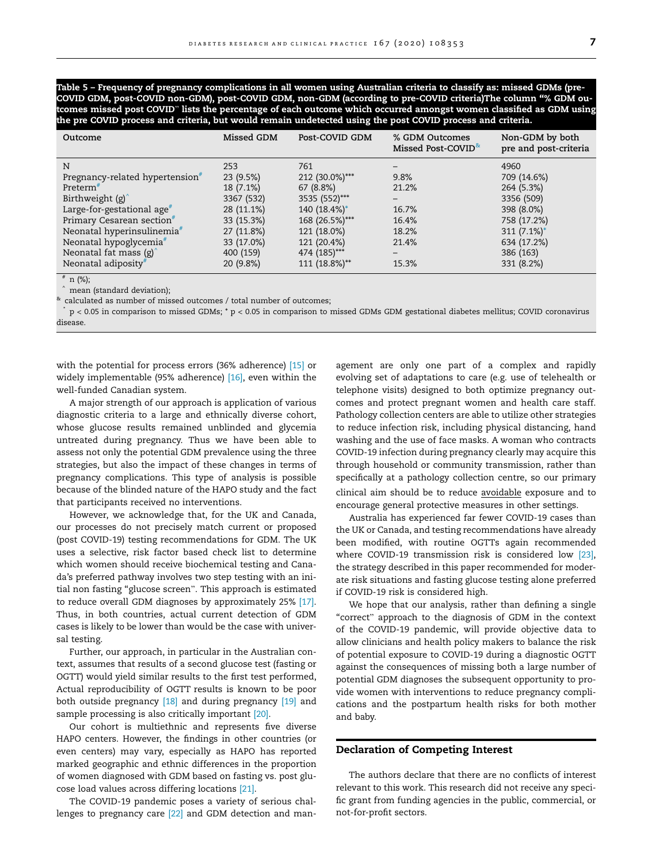<span id="page-6-0"></span>Table 5 – Frequency of pregnancy complications in all women using Australian criteria to classify as: missed GDMs (pre-COVID GDM, post-COVID non-GDM), post-COVID GDM, non-GDM (according to pre-COVID criteria)The column ''% GDM outcomes missed post COVID" lists the percentage of each outcome which occurred amongst women classified as GDM using the pre COVID process and criteria, but would remain undetected using the post COVID process and criteria.

| Outcome                                     | Missed GDM | Post-COVID GDM | % GDM Outcomes<br>Missed Post-COVID <sup>*</sup> | Non-GDM by both<br>pre and post-criteria |
|---------------------------------------------|------------|----------------|--------------------------------------------------|------------------------------------------|
| N                                           | 253        | 761            |                                                  | 4960                                     |
| Pregnancy-related hypertension <sup>#</sup> | 23(9.5%)   | 212 (30.0%)*** | 9.8%                                             | 709 (14.6%)                              |
| $Preterm$ <sup>#</sup>                      | 18 (7.1%)  | 67(8.8%)       | 21.2%                                            | 264 (5.3%)                               |
| Birthweight $(g)$                           | 3367 (532) | 3535 (552)***  |                                                  | 3356 (509)                               |
| Large-for-gestational age $*$               | 28 (11.1%) | 140 (18.4%)*   | 16.7%                                            | 398 (8.0%)                               |
| Primary Cesarean section <sup>#</sup>       | 33 (15.3%) | 168 (26.5%)*** | 16.4%                                            | 758 (17.2%)                              |
| Neonatal hyperinsulinemia <sup>#</sup>      | 27 (11.8%) | 121 (18.0%)    | 18.2%                                            | 311 $(7.1\%)^*$                          |
| Neonatal hypoglycemia <sup>#</sup>          | 33 (17.0%) | 121 (20.4%)    | 21.4%                                            | 634 (17.2%)                              |
| Neonatal fat mass $(g)$                     | 400 (159)  | 474 (185)***   |                                                  | 386 (163)                                |
| Neonatal adiposity#                         | 20 (9.8%)  | 111 (18.8%)**  | 15.3%                                            | 331 (8.2%)                               |

 $# n$  (%);

mean (standard deviation);

 $*$  calculated as number of missed outcomes / total number of outcomes;

\* p < 0.05 in comparison to missed GDMs; \* p < 0.05 in comparison to missed GDMs GDM gestational diabetes mellitus; COVID coronavirus disease.

with the potential for process errors (36% adherence) [\[15\]](#page-7-0) or widely implementable (95% adherence) [\[16\]](#page-7-0), even within the well-funded Canadian system.

A major strength of our approach is application of various diagnostic criteria to a large and ethnically diverse cohort, whose glucose results remained unblinded and glycemia untreated during pregnancy. Thus we have been able to assess not only the potential GDM prevalence using the three strategies, but also the impact of these changes in terms of pregnancy complications. This type of analysis is possible because of the blinded nature of the HAPO study and the fact that participants received no interventions.

However, we acknowledge that, for the UK and Canada, our processes do not precisely match current or proposed (post COVID-19) testing recommendations for GDM. The UK uses a selective, risk factor based check list to determine which women should receive biochemical testing and Canada's preferred pathway involves two step testing with an initial non fasting ''glucose screen". This approach is estimated to reduce overall GDM diagnoses by approximately 25% [\[17\].](#page-7-0) Thus, in both countries, actual current detection of GDM cases is likely to be lower than would be the case with universal testing.

Further, our approach, in particular in the Australian context, assumes that results of a second glucose test (fasting or OGTT) would yield similar results to the first test performed, Actual reproducibility of OGTT results is known to be poor both outside pregnancy [\[18\]](#page-7-0) and during pregnancy [\[19\]](#page-7-0) and sample processing is also critically important [\[20\].](#page-7-0)

Our cohort is multiethnic and represents five diverse HAPO centers. However, the findings in other countries (or even centers) may vary, especially as HAPO has reported marked geographic and ethnic differences in the proportion of women diagnosed with GDM based on fasting vs. post glucose load values across differing locations [\[21\].](#page-7-0)

The COVID-19 pandemic poses a variety of serious challenges to pregnancy care [\[22\]](#page-7-0) and GDM detection and management are only one part of a complex and rapidly evolving set of adaptations to care (e.g. use of telehealth or telephone visits) designed to both optimize pregnancy outcomes and protect pregnant women and health care staff. Pathology collection centers are able to utilize other strategies to reduce infection risk, including physical distancing, hand washing and the use of face masks. A woman who contracts COVID-19 infection during pregnancy clearly may acquire this through household or community transmission, rather than specifically at a pathology collection centre, so our primary clinical aim should be to reduce avoidable exposure and to encourage general protective measures in other settings.

Australia has experienced far fewer COVID-19 cases than the UK or Canada, and testing recommendations have already been modified, with routine OGTTs again recommended where COVID-19 transmission risk is considered low [\[23\],](#page-7-0) the strategy described in this paper recommended for moderate risk situations and fasting glucose testing alone preferred if COVID-19 risk is considered high.

We hope that our analysis, rather than defining a single "correct" approach to the diagnosis of GDM in the context of the COVID-19 pandemic, will provide objective data to allow clinicians and health policy makers to balance the risk of potential exposure to COVID-19 during a diagnostic OGTT against the consequences of missing both a large number of potential GDM diagnoses the subsequent opportunity to provide women with interventions to reduce pregnancy complications and the postpartum health risks for both mother and baby.

#### Declaration of Competing Interest

The authors declare that there are no conflicts of interest relevant to this work. This research did not receive any specific grant from funding agencies in the public, commercial, or not-for-profit sectors.